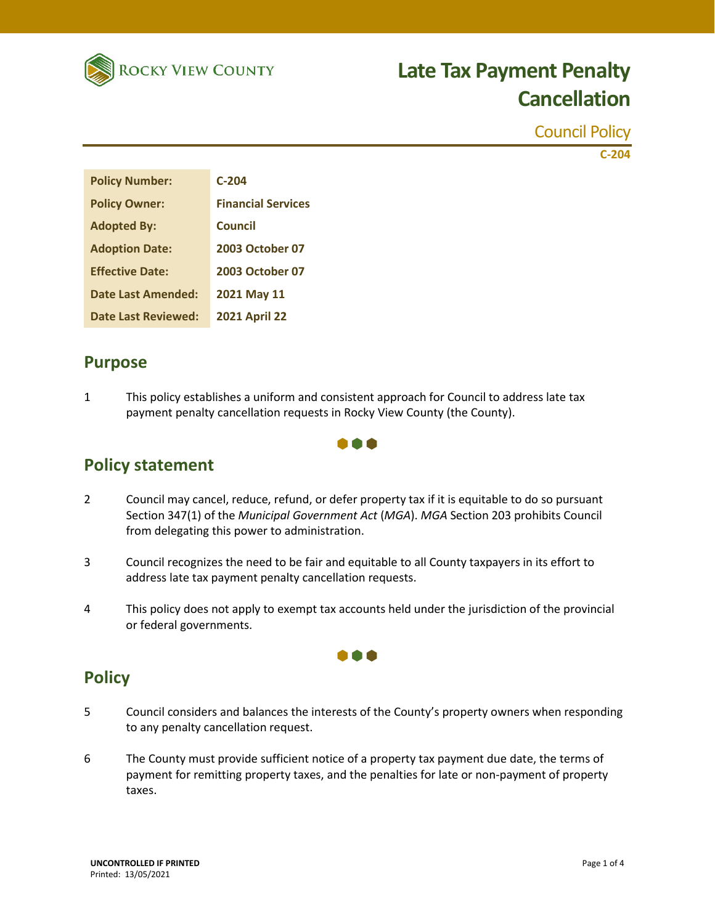

Council Policy **C-204**

| <b>Policy Number:</b>      | $C-204$                   |
|----------------------------|---------------------------|
| <b>Policy Owner:</b>       | <b>Financial Services</b> |
| <b>Adopted By:</b>         | Council                   |
| <b>Adoption Date:</b>      | <b>2003 October 07</b>    |
| <b>Effective Date:</b>     | <b>2003 October 07</b>    |
| Date Last Amended:         | 2021 May 11               |
| <b>Date Last Reviewed:</b> | <b>2021 April 22</b>      |

### **Purpose**

**Policy statement**

1 This policy establishes a uniform and consistent approach for Council to address late tax payment penalty cancellation requests in Rocky View County (the County).

### n a a

- 2 Council may cancel, reduce, refund, or defer property tax if it is equitable to do so pursuant Section 347(1) of the *Municipal Government Act* (*MGA*). *MGA* Section 203 prohibits Council from delegating this power to administration.
- 3 Council recognizes the need to be fair and equitable to all County taxpayers in its effort to address late tax payment penalty cancellation requests.
- 4 This policy does not apply to exempt tax accounts held under the jurisdiction of the provincial or federal governments.

## **Policy**

5 Council considers and balances the interests of the County's property owners when responding to any penalty cancellation request.

000

6 The County must provide sufficient notice of a property tax payment due date, the terms of payment for remitting property taxes, and the penalties for late or non-payment of property taxes.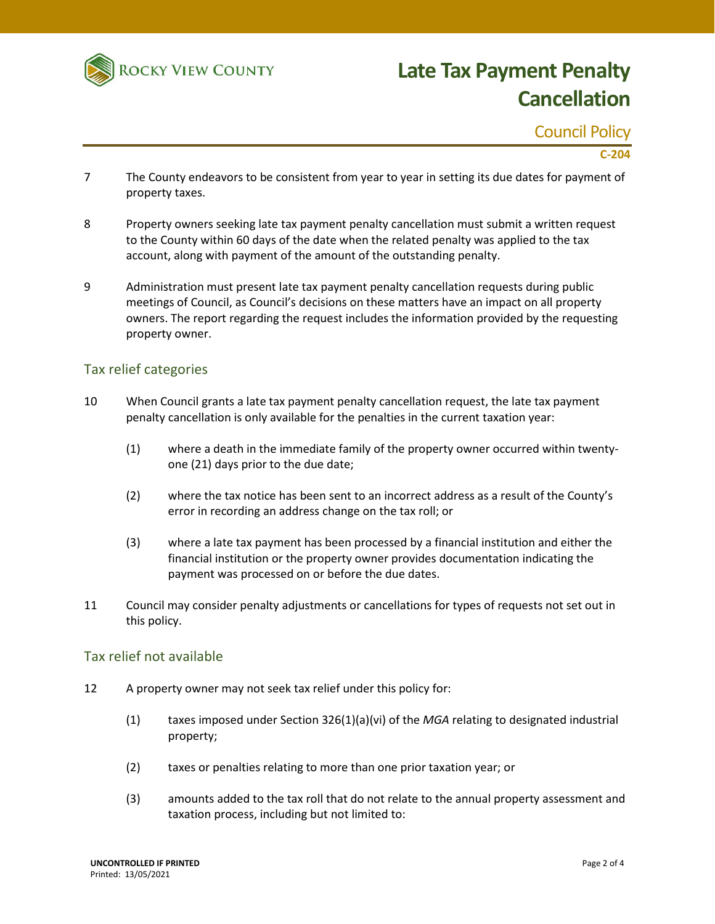

Council Policy

### **C-204**

- 7 The County endeavors to be consistent from year to year in setting its due dates for payment of property taxes.
- 8 Property owners seeking late tax payment penalty cancellation must submit a written request to the County within 60 days of the date when the related penalty was applied to the tax account, along with payment of the amount of the outstanding penalty.
- 9 Administration must present late tax payment penalty cancellation requests during public meetings of Council, as Council's decisions on these matters have an impact on all property owners. The report regarding the request includes the information provided by the requesting property owner.

#### Tax relief categories

- 10 When Council grants a late tax payment penalty cancellation request, the late tax payment penalty cancellation is only available for the penalties in the current taxation year:
	- (1) where a death in the immediate family of the property owner occurred within twentyone (21) days prior to the due date;
	- (2) where the tax notice has been sent to an incorrect address as a result of the County's error in recording an address change on the tax roll; or
	- (3) where a late tax payment has been processed by a financial institution and either the financial institution or the property owner provides documentation indicating the payment was processed on or before the due dates.
- 11 Council may consider penalty adjustments or cancellations for types of requests not set out in this policy.

#### Tax relief not available

- 12 A property owner may not seek tax relief under this policy for:
	- (1) taxes imposed under Section 326(1)(a)(vi) of the *MGA* relating to designated industrial property;
	- (2) taxes or penalties relating to more than one prior taxation year; or
	- (3) amounts added to the tax roll that do not relate to the annual property assessment and taxation process, including but not limited to: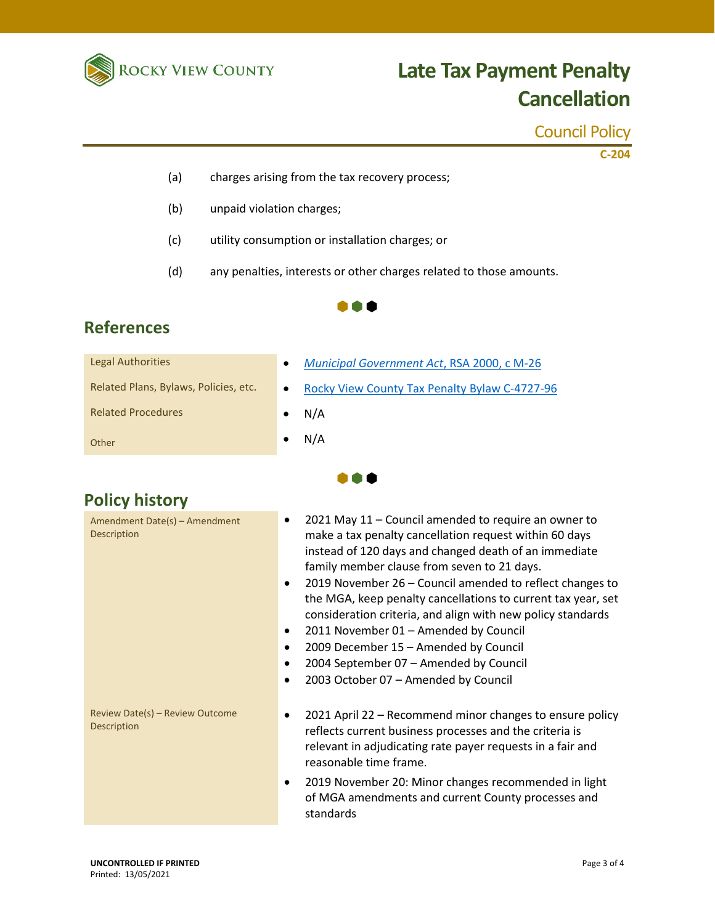

Council Policy

**C-204**

- (a) charges arising from the tax recovery process;
- (b) unpaid violation charges;
- (c) utility consumption or installation charges; or
- (d) any penalties, interests or other charges related to those amounts.



**. . .** 

## **References**

| Legal Authorities                     | <b>Municipal Government Act, RSA 2000, c M-26</b> |
|---------------------------------------|---------------------------------------------------|
| Related Plans, Bylaws, Policies, etc. | Rocky View County Tax Penalty Bylaw C-4727-96     |
| <b>Related Procedures</b>             | N/A                                               |
| Other                                 | N/A                                               |

## **Policy history**

| Amendment Date(s) - Amendment<br><b>Description</b>   | 2021 May 11 - Council amended to require an owner to<br>٠<br>make a tax penalty cancellation request within 60 days<br>instead of 120 days and changed death of an immediate<br>family member clause from seven to 21 days.<br>2019 November 26 – Council amended to reflect changes to<br>$\bullet$<br>the MGA, keep penalty cancellations to current tax year, set<br>consideration criteria, and align with new policy standards<br>2011 November 01 - Amended by Council<br>٠<br>2009 December 15 - Amended by Council<br>٠<br>2004 September 07 - Amended by Council<br>$\bullet$<br>2003 October 07 - Amended by Council |
|-------------------------------------------------------|--------------------------------------------------------------------------------------------------------------------------------------------------------------------------------------------------------------------------------------------------------------------------------------------------------------------------------------------------------------------------------------------------------------------------------------------------------------------------------------------------------------------------------------------------------------------------------------------------------------------------------|
| Review Date(s) - Review Outcome<br><b>Description</b> | 2021 April 22 - Recommend minor changes to ensure policy<br>٠<br>reflects current business processes and the criteria is<br>relevant in adjudicating rate payer requests in a fair and<br>reasonable time frame.<br>2019 November 20: Minor changes recommended in light                                                                                                                                                                                                                                                                                                                                                       |
|                                                       | of MGA amendments and current County processes and<br>standards                                                                                                                                                                                                                                                                                                                                                                                                                                                                                                                                                                |